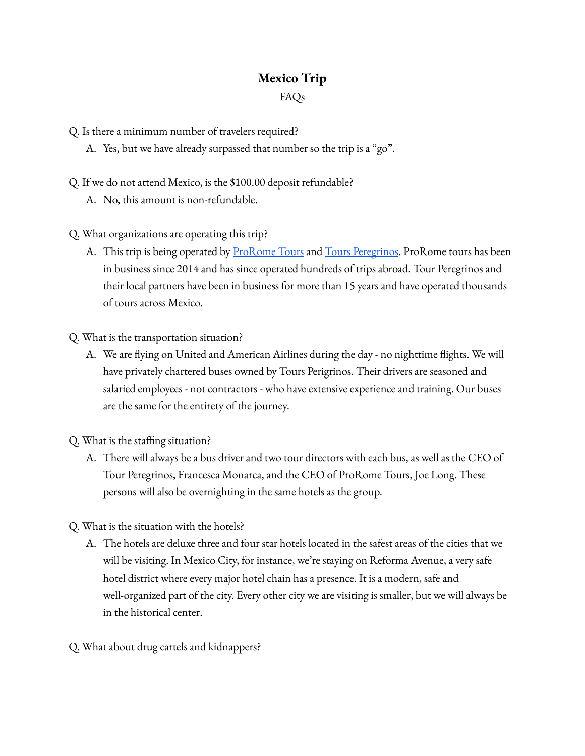## **Mexico Trip** FAQs

Q. Is there a minimum number of travelers required?

- A. Yes, but we have already surpassed that number so the trip is a "go".
- Q. If we do not attend Mexico, is the \$100.00 deposit refundable?
	- A. No, this amount is non-refundable.

Q. What organizations are operating this trip?

A. This trip is being operated by **[ProRome](https://prorometours.com/) Tours** and Tours [Peregrinos](https://toursperegrinosmexico.com/index.php/en/). ProRome tours has been in business since 2014 and has since operated hundreds of trips abroad. Tour Peregrinos and their local partners have been in business for more than 15 years and have operated thousands of tours across Mexico.

Q. What is the transportation situation?

- A. We are flying on United and American Airlines during the day no nighttime flights. We will have privately chartered buses owned by Tours Perigrinos. Their drivers are seasoned and salaried employees - not contractors - who have extensive experience and training. Our buses are the same for the entirety of the journey.
- Q. What is the staffing situation?
	- A. There will always be a bus driver and two tour directors with each bus, as well as the CEO of Tour Peregrinos, Francesca Monarca, and the CEO of ProRome Tours, Joe Long. These persons will also be overnighting in the same hotels as the group.

Q. What is the situation with the hotels?

- A. The hotels are deluxe three and four star hotels located in the safest areas of the cities that we will be visiting. In Mexico City, for instance, we're staying on Reforma Avenue, a very safe hotel district where every major hotel chain has a presence. It is a modern, safe and well-organized part of the city. Every other city we are visiting is smaller, but we will always be in the historical center.
- Q. What about drug cartels and kidnappers?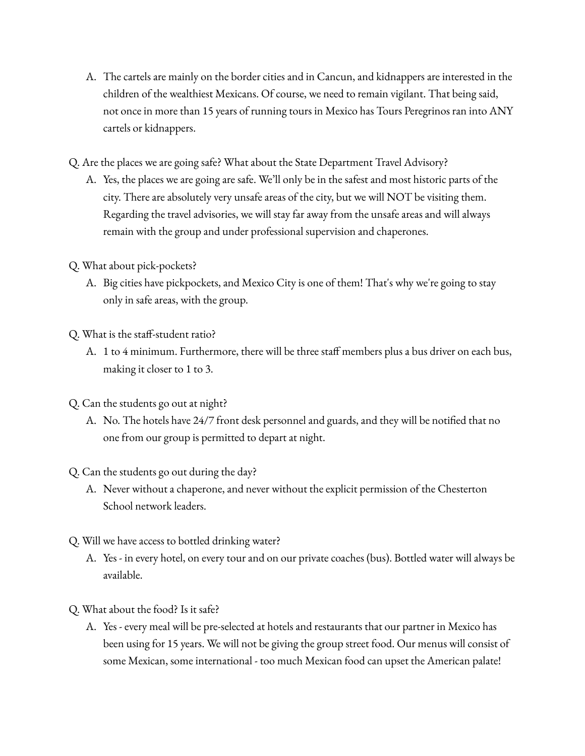- A. The cartels are mainly on the border cities and in Cancun, and kidnappers are interested in the children of the wealthiest Mexicans. Of course, we need to remain vigilant. That being said, not once in more than 15 years of running tours in Mexico has Tours Peregrinos ran into ANY cartels or kidnappers.
- Q. Are the places we are going safe? What about the State Department Travel Advisory?
	- A. Yes, the places we are going are safe. We'll only be in the safest and most historic parts of the city. There are absolutely very unsafe areas of the city, but we will NOT be visiting them. Regarding the travel advisories, we will stay far away from the unsafe areas and will always remain with the group and under professional supervision and chaperones.

## Q. What about pick-pockets?

A. Big cities have pickpockets, and Mexico City is one of them! That's why we're going to stay only in safe areas, with the group.

Q. What is the staff-student ratio?

- A. 1 to 4 minimum. Furthermore, there will be three staff members plus a bus driver on each bus, making it closer to 1 to 3.
- Q. Can the students go out at night?
	- A. No. The hotels have 24/7 front desk personnel and guards, and they will be notified that no one from our group is permitted to depart at night.
- Q. Can the students go out during the day?
	- A. Never without a chaperone, and never without the explicit permission of the Chesterton School network leaders.
- Q. Will we have access to bottled drinking water?
	- A. Yes in every hotel, on every tour and on our private coaches (bus). Bottled water will always be available.
- Q. What about the food? Is it safe?
	- A. Yes every meal will be pre-selected at hotels and restaurants that our partner in Mexico has been using for 15 years. We will not be giving the group street food. Our menus will consist of some Mexican, some international - too much Mexican food can upset the American palate!